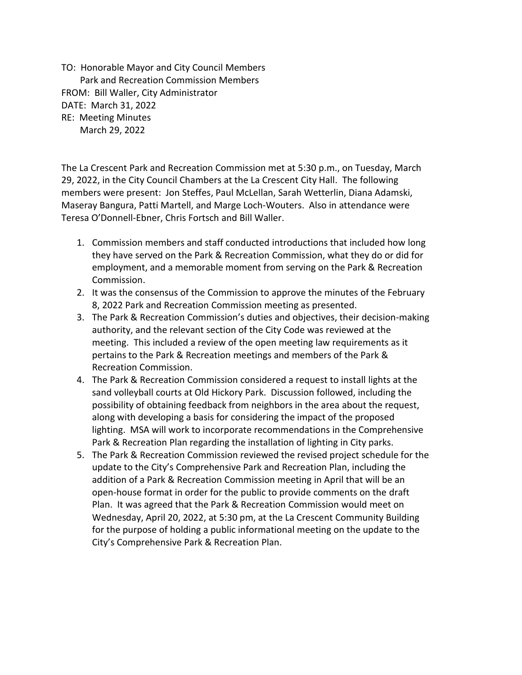TO: Honorable Mayor and City Council Members Park and Recreation Commission Members FROM: Bill Waller, City Administrator DATE: March 31, 2022 RE: Meeting Minutes March 29, 2022

The La Crescent Park and Recreation Commission met at 5:30 p.m., on Tuesday, March 29, 2022, in the City Council Chambers at the La Crescent City Hall. The following members were present: Jon Steffes, Paul McLellan, Sarah Wetterlin, Diana Adamski, Maseray Bangura, Patti Martell, and Marge Loch-Wouters. Also in attendance were Teresa O'Donnell-Ebner, Chris Fortsch and Bill Waller.

- 1. Commission members and staff conducted introductions that included how long they have served on the Park & Recreation Commission, what they do or did for employment, and a memorable moment from serving on the Park & Recreation Commission.
- 2. It was the consensus of the Commission to approve the minutes of the February 8, 2022 Park and Recreation Commission meeting as presented.
- 3. The Park & Recreation Commission's duties and objectives, their decision-making authority, and the relevant section of the City Code was reviewed at the meeting. This included a review of the open meeting law requirements as it pertains to the Park & Recreation meetings and members of the Park & Recreation Commission.
- 4. The Park & Recreation Commission considered a request to install lights at the sand volleyball courts at Old Hickory Park. Discussion followed, including the possibility of obtaining feedback from neighbors in the area about the request, along with developing a basis for considering the impact of the proposed lighting. MSA will work to incorporate recommendations in the Comprehensive Park & Recreation Plan regarding the installation of lighting in City parks.
- 5. The Park & Recreation Commission reviewed the revised project schedule for the update to the City's Comprehensive Park and Recreation Plan, including the addition of a Park & Recreation Commission meeting in April that will be an open-house format in order for the public to provide comments on the draft Plan. It was agreed that the Park & Recreation Commission would meet on Wednesday, April 20, 2022, at 5:30 pm, at the La Crescent Community Building for the purpose of holding a public informational meeting on the update to the City's Comprehensive Park & Recreation Plan.